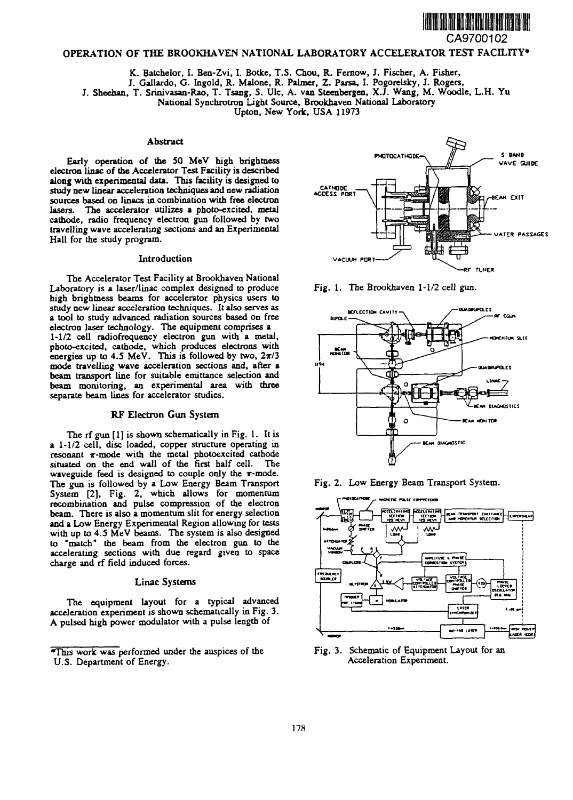

CA9700102

# **OPERATION OF THE BROOKHAVEN NATIONAL LABORATORY ACCELERATOR TEST FACILITY\***

**K. Batchelor, I. Ben-Zvi, I. Botke, T.S. Chou, R. Fernow, J. Fischer, A. Fisher,**

**J. Gallardo, G. Ingold, R. Malone, R. Palmer, Z. Parsa, I. Pogorelsky, J. Rogers,**

**J. Sheehan, T. Srinivasaa-Rao, T. Tsang, S. Ulc, A. van Steenbergen, X.J. Wang, M. Woodle, L.H. Yu**

**National Synchrotron Light Source, Brookhaven National Laboratory**

**Upton, New York, USA 11973**

## **Abstract**

**Early operation of the SO MeV high brightness electron linac of the Accelerator Test Facility is described along with experimental data. This facility is designed to study new linear acceleration techniques and new radiation sources based on linacs in combination with free electron lasers. The accelerator utilizes a photo-excited, metal cathode, radio frequency electron gun followed by two travelling wave accelerating sections and an Experimental Hall for the study program.**

## **Introduction**

**The Accelerator Test Facility at Brookhaven National Laboratory is a laser/linac complex designed to produce high brightness beams for accelerator physics users to study new linear acceleration techniques. It also serves as a tool to study advanced radiation sources based on free electron laser technology. The equipment comprises a 1-1/2 cell radiofrequency electron gun with a metal, photo-excited, cathode, which produces electrons with energies up to 4.5 MeV. This is followed by two, 2x/3 mode travelling wave acceleration sections and, after a beam transport line for suitable emittance selection and beam monitoring, an experimental area with three separate beam lines for accelerator studies.**

# **RF Electron Gun System**

**The rf gun [1] is shown schematically in Fig. 1. It is a 1-1/2 cell, disc loaded, copper structure operating in resonant r-mode with the metal photoexcited cathode situated on the end wall of the first half cell. The waveguide feed is designed to couple only the x-mode. The gun is followed by a Low Energy Beam Transport System [2], Fig. 2, which allows for momentum recombination and pulse compression of the electron beam. There is also a momentum slit for energy selection and a Low Energy Experimental Region allowing for tests with up to 4.5 MeV beams. The system is also designed to "match" the beam from the electron gun to the accelerating sections with due regard given to space charge and rf field induced forces.**

### **Linac Systems**

**The equipment layout for a typical advanced acceleration experiment is shown schematically in Fig. 3. A pulsed high power modulator with a pulse length of**











**Fig. 3. Schematic of Equipment Layout for an Acceleration Experiment.**

**<sup>\*</sup>ThiS work was performed under the auspices of the U.S. Department of Energy.**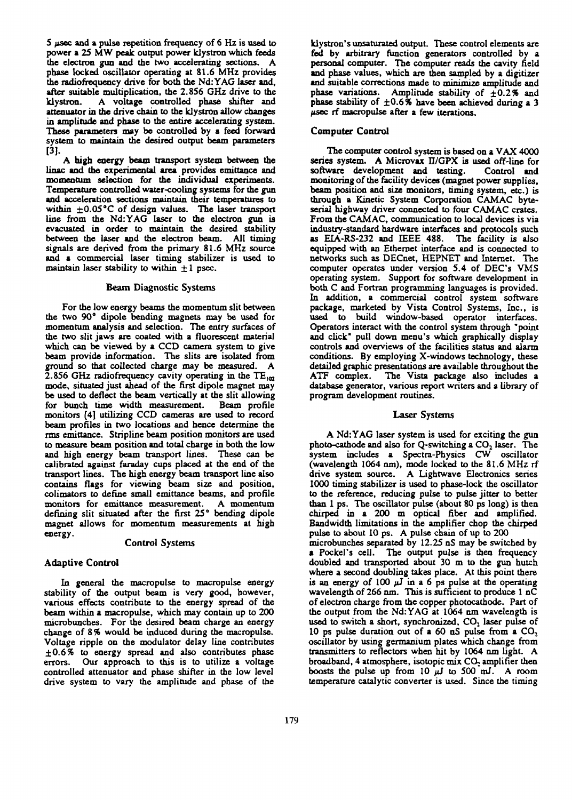**S** *ftsec* **and a pulse repetition frequency of 6 Hz is used to power a 25 MW peak output power klystron which feeds the electron gun and the two accelerating sections. A phase locked oscillator operating at 81.6 MHz provides the radiofrequency drive for both the Nd:YAG laser and, after suitable multiplication, the 2.856 GHz drive to the klystron. A voltage controlled phase shifter and attenuator in the drive chain to the klystron allow changes in amplitude and phase to the entire accelerating system. These parameters may be controlled by a feed forward system to maintain the desired output beam parameters [3].**

**A high energy beam transport system between the linac and the experimental area provides emittance and momentum selection for the individual experiments. Temperature controlled water-cooling systems for the gun and acceleration sections maintain their temperatures to within ±0.05°C of design values. The laser transport line from the Nd:YAG laser to the electron gun is evacuated in order to maintain the desired stability between the laser and the electron beam. All timing signals are derived from the primary 81.6 MHz source and a commercial laser timing stabilizer is used to maintain laser stability to within ± 1 psec.**

### **Beam Diagnostic Systems**

**For the low energy beams the momentum slit between the two 90° dipole bending magnets may be used for momentum analysis and selection. The entry surfaces of the two slit jaws are coated with a fluorescent material which can be viewed by a CCD camera system to give beam provide information. The slits are isolated from ground so that collected charge may be measured. A** 2.856 GHz radiofrequency cavity operating in the  $TE_{102}$ **mode, situated just ahead of the first dipole magnet may be used to deflect the beam vertically at the slit allowing for bunch time width measurement. Beam profile monitors [4] utilizing CCD cameras are used to record beam profiles in two locations and hence determine the rms emittance. Stripline beam position monitors are used to measure beam position and total charge in both the low and high energy beam transport lines. These can be calibrated against faraday cups placed at the end of the transport lines. The high energy beam transport line also contains flags for viewing beam size and position, colimators to define small emittance beams, and profile monitors for emittance measurement. A momentum defining slit situated after the first 25° bending dipole magnet allows for momentum measurements at high energy.**

#### **Control Systems**

### **Adaptive Control**

**In general the macropulse to macropulse energy stability of the output beam is very good, however, various effects contribute to the energy spread of the beam within a macropulse, which may contain up to 200 microbuncb.es. For the desired beam charge an energy change of 8 % would be induced during the macropulse. Voltage ripple on the modulator delay line contributes ±0.6% to energy spread and also contributes phase errors. Our approach to this is to utilize a voltage controlled attenuator and phase shifter in the low level drive system to vary the amplitude and phase of the**

**klystron's unsaturated output. These control elements are fed by arbitrary function generators controlled by a personal computer. The computer reads the cavity field and phase values, which are then sampled by a digitizer** and suitable corrections made to minimize amplitude and **phase variations. Amplitude stability of ±0.2% and phase stability of ±0.6% have been achieved during a 3 psec rf macropulse after a few iterations.**

### **Computer Control**

**The computer control system is based on a VAX 4000** series system. A Microvax II/GPX is used off-line for **software development and testing. Control and monitoring of the facility devices (magnet power supplies, beam position and size monitors, timing system, etc.) is through a Kinetic System Corporation CAMAC byteserial highway driver connected to four CAMAC crates. From the CAMAC, communication to local devices is via industry-standard hardware interfaces and protocols such as EIA-RS-232 and IEEE 488. The facility is also equipped with an Ethernet interface and is connected to networks such as DECnet, HEPNET and Internet. The computer operates under version 5.4 of DEC's VMS operating system. Support for software development in both C and Fortran programming languages is provided. In addition, a commercial control system software package, marketed by Vista Control Systems, Inc., is used to build window-based operator interfaces. Operators interact with the control system through "point and click" pull down menu's which graphically display controls and overviews of the facilities status and alarm conditions. By employing X-windows technology, these detailed graphic presentations are available throughout the ATF complex. The Vista package also includes a database generator, various report writers and a library of program development routines.**

# **Laser Systems**

**A Nd:YAG laser system is used for exciting the gun photo-cathode and also for Q-switching a CO2 laser. The system includes a Spectra-Physics CW oscillator (wavelength 1064 nm), mode locked to the 81.6 MHz rf drive system source. A Lightwave Electronics series 1000 timing stabilizer is used to phase-lock the oscillator to the reference, reducing pulse to pulse jitter to better than 1 ps. The oscillator pulse (about 80 ps long) is then chirped in a 200 m optical fiber and amplified. Bandwidth limitations in the amplifier chop the chirped pulse to about 10 ps. A pulse chain of up to 200 microbunches separated by 12.25 nS may be switched by a Pocket's cell. The output pulse is then frequency doubled and transported about 30 m to the gun hutch where a second doubling takes place. At this point there** is an energy of  $100 \mu \overline{J}$  in a 6 ps pulse at the operating **wavelength of 266 nm. This is sufficient to produce 1 nC of electron charge from the copper photocathode. Part of the output from the Nd:YAG at 1064 nm wavelength is used to switch a short, synchronized, CO2 laser pulse of 10 ps pulse duration out of a 60 nS pulse from a CO, oscillator by using germanium plates which change from transmitters to reflectors when hit by 1064 nm light. A broadband, 4 atmosphere, isotopic mix CO, amplifier then boosts the pulse up from 10** *pj* **to 500 mJ. A room temperature catalytic converter is used. Since the timing**